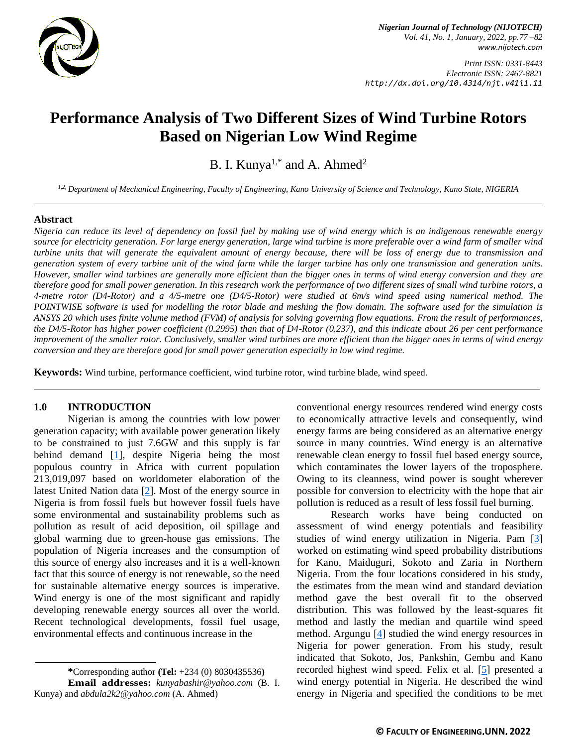

*Print ISSN: 0331-8443 Electronic ISSN: 2467-8821 http://dx.doi.org/10.4314/njt.v41i1.11*

# **Performance Analysis of Two Different Sizes of Wind Turbine Rotors Based on Nigerian Low Wind Regime**

B. I. Kunya<sup>1,\*</sup> and A. Ahmed<sup>2</sup>

*1,2, Department of Mechanical Engineering, Faculty of Engineering, Kano University of Science and Technology, Kano State, NIGERIA*

#### **Abstract**

*Nigeria can reduce its level of dependency on fossil fuel by making use of wind energy which is an indigenous renewable energy source for electricity generation. For large energy generation, large wind turbine is more preferable over a wind farm of smaller wind turbine units that will generate the equivalent amount of energy because, there will be loss of energy due to transmission and generation system of every turbine unit of the wind farm while the larger turbine has only one transmission and generation units. However, smaller wind turbines are generally more efficient than the bigger ones in terms of wind energy conversion and they are therefore good for small power generation. In this research work the performance of two different sizes of small wind turbine rotors, a 4-metre rotor (D4-Rotor) and a 4/5-metre one (D4/5-Rotor) were studied at 6m/s wind speed using numerical method. The POINTWISE software is used for modelling the rotor blade and meshing the flow domain. The software used for the simulation is ANSYS 20 which uses finite volume method (FVM) of analysis for solving governing flow equations. From the result of performances, the D4/5-Rotor has higher power coefficient (0.2995) than that of D4-Rotor (0.237), and this indicate about 26 per cent performance improvement of the smaller rotor. Conclusively, smaller wind turbines are more efficient than the bigger ones in terms of wind energy conversion and they are therefore good for small power generation especially in low wind regime.*

**Keywords:** Wind turbine, performance coefficient, wind turbine rotor, wind turbine blade, wind speed.

## **1.0 INTRODUCTION**

Nigerian is among the countries with low power generation capacity; with available power generation likely to be constrained to just 7.6GW and this supply is far behind demand [\[1\]](#page-4-0), despite Nigeria being the most populous country in Africa with current population 213,019,097 based on worldometer elaboration of the latest United Nation data [\[2\]](#page-4-1). Most of the energy source in Nigeria is from fossil fuels but however fossil fuels have some environmental and sustainability problems such as pollution as result of acid deposition, oil spillage and global warming due to green-house gas emissions. The population of Nigeria increases and the consumption of this source of energy also increases and it is a well-known fact that this source of energy is not renewable, so the need for sustainable alternative energy sources is imperative. Wind energy is one of the most significant and rapidly developing renewable energy sources all over the world. Recent technological developments, fossil fuel usage, environmental effects and continuous increase in the

conventional energy resources rendered wind energy costs to economically attractive levels and consequently, wind energy farms are being considered as an alternative energy source in many countries. Wind energy is an alternative renewable clean energy to fossil fuel based energy source, which contaminates the lower layers of the troposphere. Owing to its cleanness, wind power is sought wherever possible for conversion to electricity with the hope that air pollution is reduced as a result of less fossil fuel burning.

Research works have being conducted on assessment of wind energy potentials and feasibility studies of wind energy utilization in Nigeria. Pam [\[3\]](#page-4-2) worked on estimating wind speed probability distributions for Kano, Maiduguri, Sokoto and Zaria in Northern Nigeria. From the four locations considered in his study, the estimates from the mean wind and standard deviation method gave the best overall fit to the observed distribution. This was followed by the least-squares fit method and lastly the median and quartile wind speed method. Argungu [\[4\]](#page-4-3) studied the wind energy resources in Nigeria for power generation. From his study, result indicated that Sokoto, Jos, Pankshin, Gembu and Kano recorded highest wind speed. Felix et al. [\[5\]](#page-5-0) presented a wind energy potential in Nigeria. He described the wind energy in Nigeria and specified the conditions to be met

**<sup>\*</sup>**Corresponding author **[\(Te](mailto:samnnaemeka.ugwu@unn.edu.ng)l:** +234 (0) 8030435536**)**

**Email addresses:** *[kunyabashir@yahoo.com](mailto:kunyabashir@yahoo.com)* (B. I. Kunya) and *[abdula2k2@yahoo.com](mailto:abdula2k2@yahoo.com)* (A. Ahmed)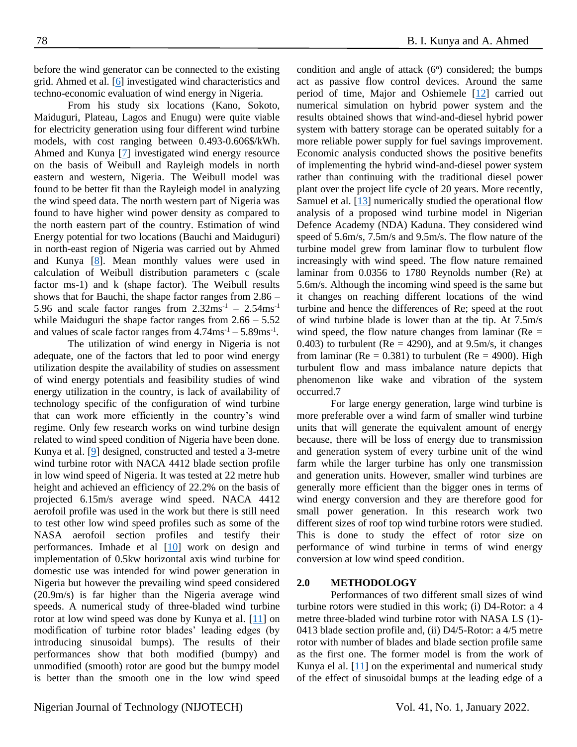before the wind generator can be connected to the existing grid. Ahmed et al. [\[6\]](#page-5-1) investigated wind characteristics and techno-economic evaluation of wind energy in Nigeria.

From his study six locations (Kano, Sokoto, Maiduguri, Plateau, Lagos and Enugu) were quite viable for electricity generation using four different wind turbine models, with cost ranging between 0.493-0.606\$/kWh. Ahmed and Kunya [\[7\]](#page-5-2) investigated wind energy resource on the basis of Weibull and Rayleigh models in north eastern and western, Nigeria. The Weibull model was found to be better fit than the Rayleigh model in analyzing the wind speed data. The north western part of Nigeria was found to have higher wind power density as compared to the north eastern part of the country. Estimation of wind Energy potential for two locations (Bauchi and Maiduguri) in north-east region of Nigeria was carried out by Ahmed and Kunya [\[8\]](#page-5-3). Mean monthly values were used in calculation of Weibull distribution parameters c (scale factor ms-1) and k (shape factor). The Weibull results shows that for Bauchi, the shape factor ranges from 2.86 – 5.96 and scale factor ranges from  $2.32 \text{ms}^{-1}$  –  $2.54 \text{ms}^{-1}$ while Maiduguri the shape factor ranges from  $2.66 - 5.52$ and values of scale factor ranges from  $4.74 \text{ms}^{-1} - 5.89 \text{ms}^{-1}$ .

The utilization of wind energy in Nigeria is not adequate, one of the factors that led to poor wind energy utilization despite the availability of studies on assessment of wind energy potentials and feasibility studies of wind energy utilization in the country, is lack of availability of technology specific of the configuration of wind turbine that can work more efficiently in the country's wind regime. Only few research works on wind turbine design related to wind speed condition of Nigeria have been done. Kunya et al. [\[9\]](#page-5-4) designed, constructed and tested a 3-metre wind turbine rotor with NACA 4412 blade section profile in low wind speed of Nigeria. It was tested at 22 metre hub height and achieved an efficiency of 22.2% on the basis of projected 6.15m/s average wind speed. NACA 4412 aerofoil profile was used in the work but there is still need to test other low wind speed profiles such as some of the NASA aerofoil section profiles and testify their performances. Imhade et al [\[10\]](#page-5-5) work on design and implementation of 0.5kw horizontal axis wind turbine for domestic use was intended for wind power generation in Nigeria but however the prevailing wind speed considered (20.9m/s) is far higher than the Nigeria average wind speeds. A numerical study of three-bladed wind turbine rotor at low wind speed was done by Kunya et al. [\[11\]](#page-5-6) on modification of turbine rotor blades' leading edges (by introducing sinusoidal bumps). The results of their performances show that both modified (bumpy) and unmodified (smooth) rotor are good but the bumpy model is better than the smooth one in the low wind speed

condition and angle of attack  $(6^{\circ})$  considered; the bumps act as passive flow control devices. Around the same period of time, Major and Oshiemele [\[12\]](#page-5-7) carried out numerical simulation on hybrid power system and the results obtained shows that wind-and-diesel hybrid power system with battery storage can be operated suitably for a more reliable power supply for fuel savings improvement. Economic analysis conducted shows the positive benefits of implementing the hybrid wind-and-diesel power system rather than continuing with the traditional diesel power plant over the project life cycle of 20 years. More recently, Samuel et al. [\[13\]](#page-5-8) numerically studied the operational flow analysis of a proposed wind turbine model in Nigerian Defence Academy (NDA) Kaduna. They considered wind speed of 5.6m/s, 7.5m/s and 9.5m/s. The flow nature of the turbine model grew from laminar flow to turbulent flow increasingly with wind speed. The flow nature remained laminar from 0.0356 to 1780 Reynolds number (Re) at 5.6m/s. Although the incoming wind speed is the same but it changes on reaching different locations of the wind turbine and hence the differences of Re; speed at the root of wind turbine blade is lower than at the tip. At 7.5m/s wind speed, the flow nature changes from laminar ( $Re =$ 0.403) to turbulent ( $Re = 4290$ ), and at 9.5m/s, it changes from laminar ( $Re = 0.381$ ) to turbulent ( $Re = 4900$ ). High turbulent flow and mass imbalance nature depicts that phenomenon like wake and vibration of the system occurred.7

For large energy generation, large wind turbine is more preferable over a wind farm of smaller wind turbine units that will generate the equivalent amount of energy because, there will be loss of energy due to transmission and generation system of every turbine unit of the wind farm while the larger turbine has only one transmission and generation units. However, smaller wind turbines are generally more efficient than the bigger ones in terms of wind energy conversion and they are therefore good for small power generation. In this research work two different sizes of roof top wind turbine rotors were studied. This is done to study the effect of rotor size on performance of wind turbine in terms of wind energy conversion at low wind speed condition.

#### **2.0 METHODOLOGY**

Performances of two different small sizes of wind turbine rotors were studied in this work; (i) D4-Rotor: a 4 metre three-bladed wind turbine rotor with NASA LS (1)- 0413 blade section profile and, (ii) D4/5-Rotor: a 4/5 metre rotor with number of blades and blade section profile same as the first one. The former model is from the work of Kunya el al. [\[11\]](#page-5-6) on the experimental and numerical study of the effect of sinusoidal bumps at the leading edge of a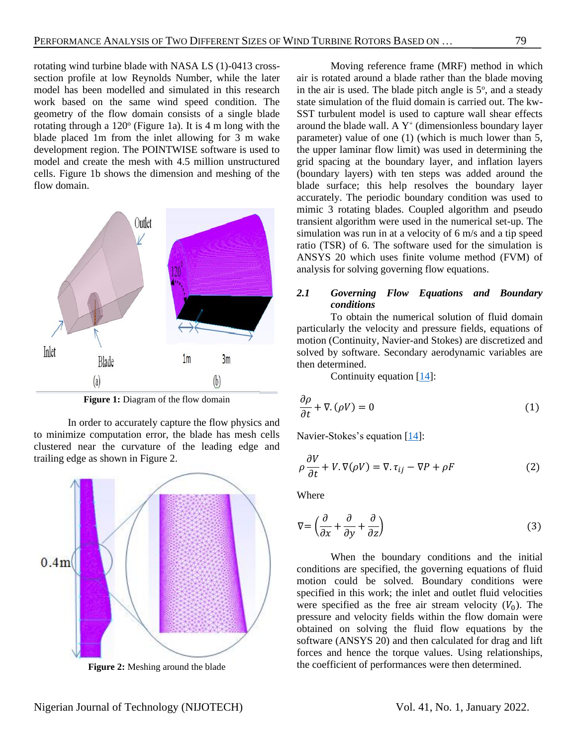rotating wind turbine blade with NASA LS (1)-0413 crosssection profile at low Reynolds Number, while the later model has been modelled and simulated in this research work based on the same wind speed condition. The geometry of the flow domain consists of a single blade rotating through a 120° (Figure 1a). It is 4 m long with the blade placed 1m from the inlet allowing for 3 m wake development region. The POINTWISE software is used to model and create the mesh with 4.5 million unstructured cells. Figure 1b shows the dimension and meshing of the flow domain.



**Figure 1:** Diagram of the flow domain

In order to accurately capture the flow physics and to minimize computation error, the blade has mesh cells clustered near the curvature of the leading edge and trailing edge as shown in Figure 2.



**Figure 2:** Meshing around the blade

Moving reference frame (MRF) method in which air is rotated around a blade rather than the blade moving in the air is used. The blade pitch angle is  $5^\circ$ , and a steady state simulation of the fluid domain is carried out. The kw-SST turbulent model is used to capture wall shear effects around the blade wall. A  $Y^+$  (dimensionless boundary layer parameter) value of one (1) (which is much lower than 5, the upper laminar flow limit) was used in determining the grid spacing at the boundary layer, and inflation layers (boundary layers) with ten steps was added around the blade surface; this help resolves the boundary layer accurately. The periodic boundary condition was used to mimic 3 rotating blades. Coupled algorithm and pseudo transient algorithm were used in the numerical set-up. The simulation was run in at a velocity of 6 m/s and a tip speed ratio (TSR) of 6. The software used for the simulation is ANSYS 20 which uses finite volume method (FVM) of analysis for solving governing flow equations.

# *2.1 Governing Flow Equations and Boundary conditions*

To obtain the numerical solution of fluid domain particularly the velocity and pressure fields, equations of motion (Continuity, Navier-and Stokes) are discretized and solved by software. Secondary aerodynamic variables are then determined.

Continuity equation [\[14\]](#page-5-9):

$$
\frac{\partial \rho}{\partial t} + \nabla \cdot (\rho V) = 0 \tag{1}
$$

Navier-Stokes's equation [\[14\]](#page-5-9):

$$
\rho \frac{\partial V}{\partial t} + V \cdot \nabla(\rho V) = \nabla \cdot \tau_{ij} - \nabla P + \rho F \tag{2}
$$

Where

$$
\nabla = \left(\frac{\partial}{\partial x} + \frac{\partial}{\partial y} + \frac{\partial}{\partial z}\right) \tag{3}
$$

When the boundary conditions and the initial conditions are specified, the governing equations of fluid motion could be solved. Boundary conditions were specified in this work; the inlet and outlet fluid velocities were specified as the free air stream velocity  $(V_0)$ . The pressure and velocity fields within the flow domain were obtained on solving the fluid flow equations by the software (ANSYS 20) and then calculated for drag and lift forces and hence the torque values. Using relationships, the coefficient of performances were then determined.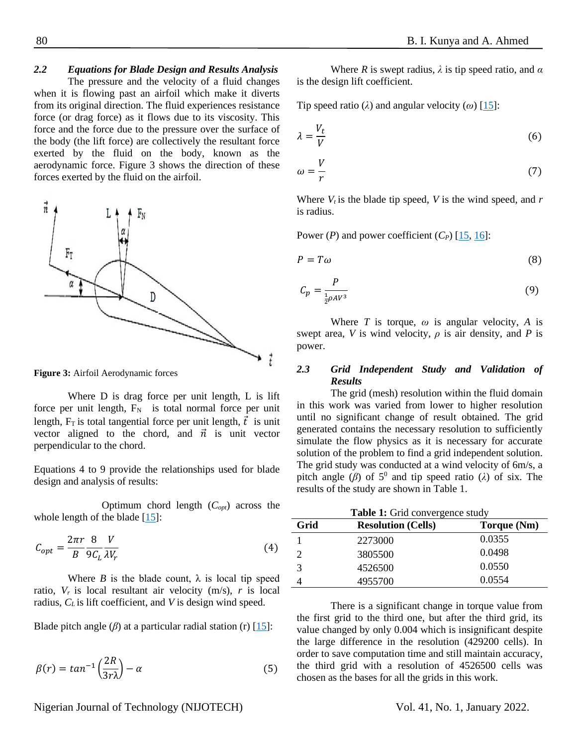# *2.2 Equations for Blade Design and Results Analysis*

The pressure and the velocity of a fluid changes when it is flowing past an airfoil which make it diverts from its original direction. The fluid experiences resistance force (or drag force) as it flows due to its viscosity. This force and the force due to the pressure over the surface of the body (the lift force) are collectively the resultant force exerted by the fluid on the body, known as the aerodynamic force. Figure 3 shows the direction of these forces exerted by the fluid on the airfoil.



**Figure 3:** Airfoil Aerodynamic forces

Where D is drag force per unit length, L is lift force per unit length,  $F_N$  is total normal force per unit length,  $F_T$  is total tangential force per unit length,  $\vec{t}$  is unit vector aligned to the chord, and  $\vec{n}$  is unit vector perpendicular to the chord.

Equations 4 to 9 provide the relationships used for blade design and analysis of results:

Optimum chord length (*Copt*) across the whole length of the blade [\[15\]](#page-5-10):

$$
C_{opt} = \frac{2\pi r}{B} \frac{8}{9C_L} \frac{V}{\lambda V_r}
$$
\n<sup>(4)</sup>

Where *B* is the blade count,  $\lambda$  is local tip speed ratio,  $V_r$  is local resultant air velocity (m/s),  $r$  is local radius, *C<sup>L</sup>* is lift coefficient, and *V* is design wind speed.

Blade pitch angle  $(\beta)$  at a particular radial station (r) [\[15\]](#page-5-10):

$$
\beta(r) = \tan^{-1}\left(\frac{2R}{3r\lambda}\right) - \alpha\tag{5}
$$

Where *R* is swept radius,  $\lambda$  is tip speed ratio, and  $\alpha$ is the design lift coefficient.

Tip speed ratio ( $\lambda$ ) and angular velocity ( $\omega$ ) [\[15\]](#page-5-10):

$$
\lambda = \frac{V_t}{V} \tag{6}
$$

$$
\omega = \frac{V}{r} \tag{7}
$$

Where  $V_t$  is the blade tip speed, *V* is the wind speed, and *r* is radius.

Power (*P*) and power coefficient  $(C_P)$  [\[15,](#page-5-10) [16\]](#page-5-11):

$$
P = T\omega \tag{8}
$$

$$
C_p = \frac{P}{\frac{1}{2}\rho A V^3} \tag{9}
$$

Where *T* is torque,  $\omega$  is angular velocity, *A* is swept area, *V* is wind velocity,  $\rho$  is air density, and *P* is power.

## *2.3 Grid Independent Study and Validation of Results*

The grid (mesh) resolution within the fluid domain in this work was varied from lower to higher resolution until no significant change of result obtained. The grid generated contains the necessary resolution to sufficiently simulate the flow physics as it is necessary for accurate solution of the problem to find a grid independent solution. The grid study was conducted at a wind velocity of 6m/s, a pitch angle  $(\beta)$  of 5<sup>0</sup> and tip speed ratio ( $\lambda$ ) of six. The results of the study are shown in Table 1.

| Table 1: Grid convergence study |                           |             |
|---------------------------------|---------------------------|-------------|
| Grid                            | <b>Resolution (Cells)</b> | Torque (Nm) |
|                                 | 2273000                   | 0.0355      |
|                                 | 3805500                   | 0.0498      |
| 3                               | 4526500                   | 0.0550      |
|                                 | 4955700                   | 0.0554      |

There is a significant change in torque value from the first grid to the third one, but after the third grid, its value changed by only 0.004 which is insignificant despite the large difference in the resolution (429200 cells). In order to save computation time and still maintain accuracy, the third grid with a resolution of 4526500 cells was chosen as the bases for all the grids in this work.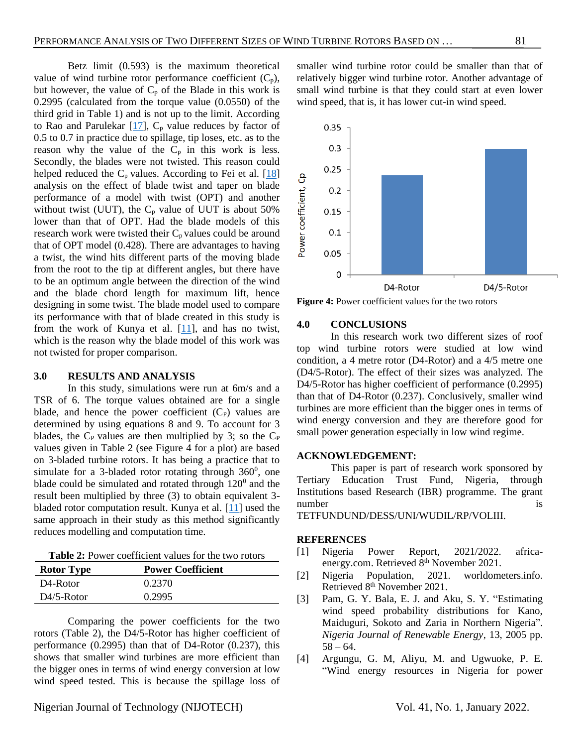Betz limit (0.593) is the maximum theoretical value of wind turbine rotor performance coefficient  $(C_p)$ , but however, the value of  $C_p$  of the Blade in this work is 0.2995 (calculated from the torque value (0.0550) of the third grid in Table 1) and is not up to the limit. According to Rao and Parulekar  $[17]$ ,  $C_p$  value reduces by factor of 0.5 to 0.7 in practice due to spillage, tip loses, etc. as to the reason why the value of the  $C_p$  in this work is less. Secondly, the blades were not twisted. This reason could helped reduced the  $C_p$  values. According to Fei et al. [\[18\]](#page-5-12) analysis on the effect of blade twist and taper on blade performance of a model with twist (OPT) and another without twist (UUT), the  $C_p$  value of UUT is about 50% lower than that of OPT. Had the blade models of this research work were twisted their  $C_p$  values could be around that of OPT model (0.428). There are advantages to having a twist, the wind hits different parts of the moving blade from the root to the tip at different angles, but there have to be an optimum angle between the direction of the wind and the blade chord length for maximum lift, hence designing in some twist. The blade model used to compare its performance with that of blade created in this study is from the work of Kunya et al. [\[11\]](#page-5-6), and has no twist, which is the reason why the blade model of this work was not twisted for proper comparison.

#### **3.0 RESULTS AND ANALYSIS**

In this study, simulations were run at 6m/s and a TSR of 6. The torque values obtained are for a single blade, and hence the power coefficient  $(C_P)$  values are determined by using equations 8 and 9. To account for 3 blades, the  $C_P$  values are then multiplied by 3; so the  $C_P$ values given in Table 2 (see Figure 4 for a plot) are based on 3-bladed turbine rotors. It has being a practice that to simulate for a 3-bladed rotor rotating through  $360^{\circ}$ , one blade could be simulated and rotated through  $120^0$  and the result been multiplied by three (3) to obtain equivalent 3 bladed rotor computation result. Kunya et al. [\[11\]](#page-5-6) used the same approach in their study as this method significantly reduces modelling and computation time.

**Table 2:** Power coefficient values for the two rotors

| <b>Rotor Type</b>                 | <b>Power Coefficient</b> |
|-----------------------------------|--------------------------|
| D <sub>4</sub> -R <sub>otor</sub> | 0.2370                   |
| $D4/5-Rotor$                      | 0.2995                   |

Comparing the power coefficients for the two rotors (Table 2), the D4/5-Rotor has higher coefficient of performance (0.2995) than that of D4-Rotor (0.237), this shows that smaller wind turbines are more efficient than the bigger ones in terms of wind energy conversion at low wind speed tested. This is because the spillage loss of

smaller wind turbine rotor could be smaller than that of relatively bigger wind turbine rotor. Another advantage of small wind turbine is that they could start at even lower wind speed, that is, it has lower cut-in wind speed.



**Figure 4:** Power coefficient values for the two rotors

#### **4.0 CONCLUSIONS**

In this research work two different sizes of roof top wind turbine rotors were studied at low wind condition, a 4 metre rotor (D4-Rotor) and a 4/5 metre one (D4/5-Rotor). The effect of their sizes was analyzed. The D4/5-Rotor has higher coefficient of performance (0.2995) than that of D4-Rotor (0.237). Conclusively, smaller wind turbines are more efficient than the bigger ones in terms of wind energy conversion and they are therefore good for small power generation especially in low wind regime.

## **ACKNOWLEDGEMENT:**

This paper is part of research work sponsored by Tertiary Education Trust Fund, Nigeria, through Institutions based Research (IBR) programme. The grant number is

TETFUNDUND/DESS/UNI/WUDIL/RP/VOLIII.

## **REFERENCES**

- <span id="page-4-0"></span>[1] Nigeria Power Report, 2021/2022. africaenergy.com. Retrieved 8<sup>th</sup> November 2021.
- <span id="page-4-1"></span>[2] Nigeria Population, 2021. worldometers.info. Retrieved 8<sup>th</sup> November 2021.
- <span id="page-4-2"></span>[3] Pam, G. Y. Bala, E. J. and Aku, S. Y. "Estimating wind speed probability distributions for Kano, Maiduguri, Sokoto and Zaria in Northern Nigeria". *Nigeria Journal of Renewable Energy*, 13, 2005 pp.  $58 - 64.$
- <span id="page-4-3"></span>[4] Argungu, G. M, Aliyu, M. and Ugwuoke, P. E. "Wind energy resources in Nigeria for power